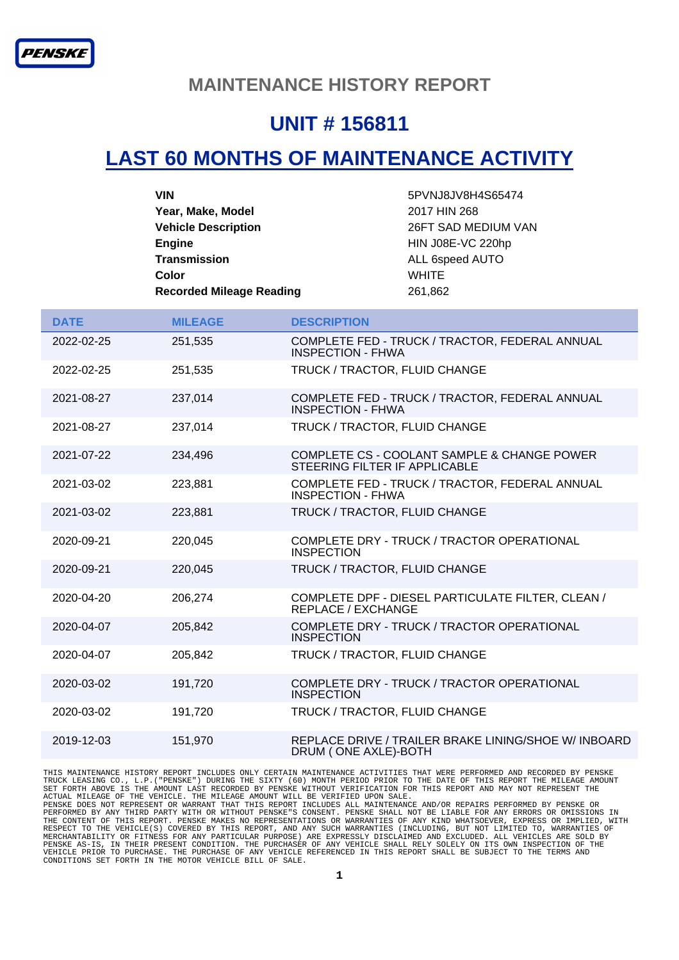#### **MAINTENANCE HISTORY REPORT**

### **UNIT # 156811**

# **LAST 60 MONTHS OF MAINTENANCE ACTIVITY**

| <b>VIN</b>                      | 5PVNJ8JV8H4S65474   |
|---------------------------------|---------------------|
| Year, Make, Model               | 2017 HIN 268        |
| <b>Vehicle Description</b>      | 26FT SAD MEDIUM VAN |
| <b>Engine</b>                   | HIN J08E-VC 220hp   |
| <b>Transmission</b>             | ALL 6speed AUTO     |
| Color                           | <b>WHITE</b>        |
| <b>Recorded Mileage Reading</b> | 261,862             |

| <b>DATE</b> | <b>MILEAGE</b> | <b>DESCRIPTION</b>                                                             |
|-------------|----------------|--------------------------------------------------------------------------------|
| 2022-02-25  | 251,535        | COMPLETE FED - TRUCK / TRACTOR, FEDERAL ANNUAL<br><b>INSPECTION - FHWA</b>     |
| 2022-02-25  | 251,535        | TRUCK / TRACTOR, FLUID CHANGE                                                  |
| 2021-08-27  | 237,014        | COMPLETE FED - TRUCK / TRACTOR, FEDERAL ANNUAL<br><b>INSPECTION - FHWA</b>     |
| 2021-08-27  | 237,014        | TRUCK / TRACTOR, FLUID CHANGE                                                  |
| 2021-07-22  | 234,496        | COMPLETE CS - COOLANT SAMPLE & CHANGE POWER<br>STEERING FILTER IF APPLICABLE   |
| 2021-03-02  | 223,881        | COMPLETE FED - TRUCK / TRACTOR, FEDERAL ANNUAL<br><b>INSPECTION - FHWA</b>     |
| 2021-03-02  | 223,881        | TRUCK / TRACTOR, FLUID CHANGE                                                  |
| 2020-09-21  | 220,045        | COMPLETE DRY - TRUCK / TRACTOR OPERATIONAL<br><b>INSPECTION</b>                |
| 2020-09-21  | 220,045        | TRUCK / TRACTOR, FLUID CHANGE                                                  |
| 2020-04-20  | 206,274        | COMPLETE DPF - DIESEL PARTICULATE FILTER, CLEAN /<br><b>REPLACE / EXCHANGE</b> |
| 2020-04-07  | 205,842        | COMPLETE DRY - TRUCK / TRACTOR OPERATIONAL<br><b>INSPECTION</b>                |
| 2020-04-07  | 205,842        | TRUCK / TRACTOR, FLUID CHANGE                                                  |
| 2020-03-02  | 191,720        | COMPLETE DRY - TRUCK / TRACTOR OPERATIONAL<br><b>INSPECTION</b>                |
| 2020-03-02  | 191,720        | TRUCK / TRACTOR, FLUID CHANGE                                                  |
| 2019-12-03  | 151,970        | REPLACE DRIVE / TRAILER BRAKE LINING/SHOE W/ INBOARD<br>DRUM (ONE AXLE)-BOTH   |

THIS MAINTENANCE HISTORY REPORT INCLUDES ONLY CERTAIN MAINTENANCE ACTIVITIES THAT WERE PERFORMED AND RECORDED BY PENSKE<br>TRUCK LEASING CO., L.P. ("PENSKE") DURING THE SIXTY (60) MONTH PERIOD PRIOR TO THE DATE OF THIS REPORT MERCHANTABILITY OR FITNESS FOR ANY PARTICULAR PURPOSE) ARE EXPRESSLY DISCLAIMED AND EXCLUDED. ALL VEHICLES ARE SOLD BY<br>PENSKE AS-IS, IN THEIR PRESENT CONDITION. THE PURCHASER OF ANY VEHICLE SHALL RELY SOLELY ON ITS OWN INS CONDITIONS SET FORTH IN THE MOTOR VEHICLE BILL OF SALE.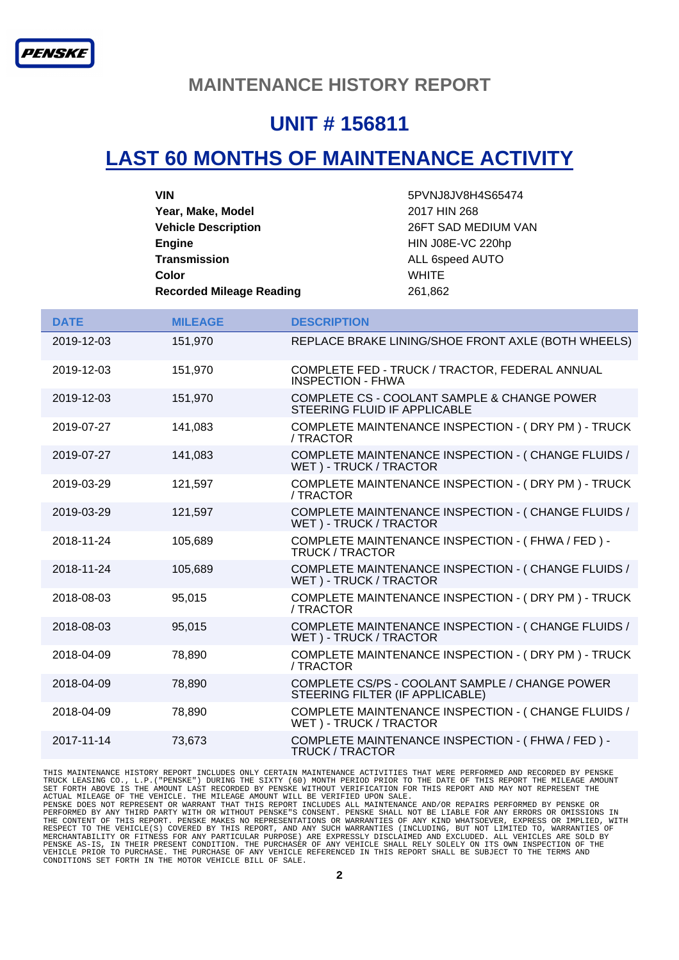#### **MAINTENANCE HISTORY REPORT**

### **UNIT # 156811**

## **LAST 60 MONTHS OF MAINTENANCE ACTIVITY**

| <b>DATE</b> | <b>MILEAGE</b> | <b>DESCRIPTION</b>                                                                |
|-------------|----------------|-----------------------------------------------------------------------------------|
| 2019-12-03  | 151,970        | REPLACE BRAKE LINING/SHOE FRONT AXLE (BOTH WHEELS)                                |
| 2019-12-03  | 151,970        | COMPLETE FED - TRUCK / TRACTOR, FEDERAL ANNUAL<br><b>INSPECTION - FHWA</b>        |
| 2019-12-03  | 151,970        | COMPLETE CS - COOLANT SAMPLE & CHANGE POWER<br>STEERING FLUID IF APPLICABLE       |
| 2019-07-27  | 141,083        | COMPLETE MAINTENANCE INSPECTION - (DRY PM) - TRUCK<br>/ TRACTOR                   |
| 2019-07-27  | 141,083        | COMPLETE MAINTENANCE INSPECTION - (CHANGE FLUIDS /<br>WET) - TRUCK / TRACTOR      |
| 2019-03-29  | 121,597        | COMPLETE MAINTENANCE INSPECTION - (DRY PM) - TRUCK<br>/ TRACTOR                   |
| 2019-03-29  | 121,597        | COMPLETE MAINTENANCE INSPECTION - (CHANGE FLUIDS /<br>WET) - TRUCK / TRACTOR      |
| 2018-11-24  | 105,689        | COMPLETE MAINTENANCE INSPECTION - (FHWA / FED) -<br><b>TRUCK / TRACTOR</b>        |
| 2018-11-24  | 105,689        | COMPLETE MAINTENANCE INSPECTION - (CHANGE FLUIDS /<br>WET) - TRUCK / TRACTOR      |
| 2018-08-03  | 95,015         | COMPLETE MAINTENANCE INSPECTION - (DRY PM) - TRUCK<br>/ TRACTOR                   |
| 2018-08-03  | 95,015         | COMPLETE MAINTENANCE INSPECTION - (CHANGE FLUIDS /<br>WET) - TRUCK / TRACTOR      |
| 2018-04-09  | 78,890         | COMPLETE MAINTENANCE INSPECTION - (DRY PM) - TRUCK<br>/ TRACTOR                   |
| 2018-04-09  | 78,890         | COMPLETE CS/PS - COOLANT SAMPLE / CHANGE POWER<br>STEERING FILTER (IF APPLICABLE) |
| 2018-04-09  | 78,890         | COMPLETE MAINTENANCE INSPECTION - (CHANGE FLUIDS /<br>WET) - TRUCK / TRACTOR      |
| 2017-11-14  | 73,673         | COMPLETE MAINTENANCE INSPECTION - (FHWA / FED) -<br><b>TRUCK / TRACTOR</b>        |

THIS MAINTENANCE HISTORY REPORT INCLUDES ONLY CERTAIN MAINTENANCE ACTIVITIES THAT WERE PERFORMED AND RECORDED BY PENSKE<br>TRUCK LEASING CO., L.P. ("PENSKE") DURING THE SIXTY (60) MONTH PERIOD PRIOR TO THE DATE OF THIS REPORT MERCHANTABILITY OR FITNESS FOR ANY PARTICULAR PURPOSE) ARE EXPRESSLY DISCLAIMED AND EXCLUDED. ALL VEHICLES ARE SOLD BY<br>PENSKE AS-IS, IN THEIR PRESENT CONDITION. THE PURCHASER OF ANY VEHICLE SHALL RELY SOLELY ON ITS OWN INS CONDITIONS SET FORTH IN THE MOTOR VEHICLE BILL OF SALE.